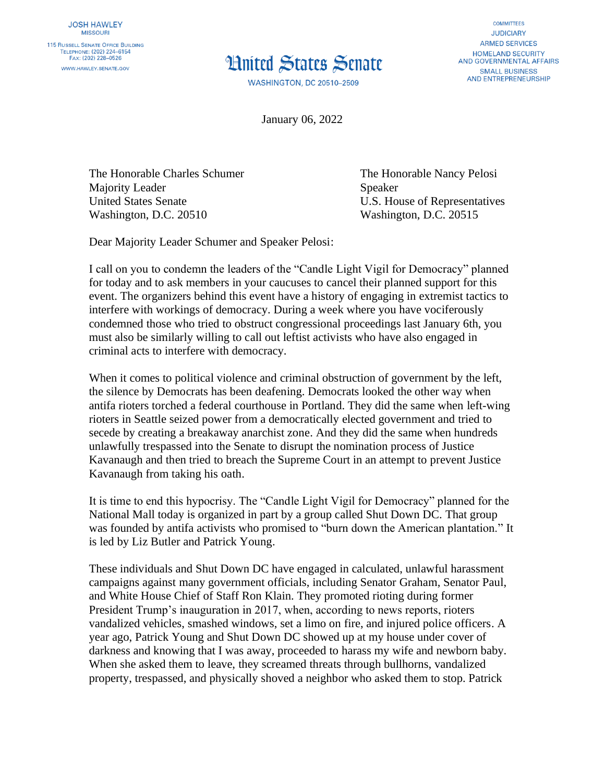

**WASHINGTON, DC 20510-2509** 

**COMMITTEES JUDICIARY ARMED SERVICES** HOMELAND SECURITY **AND GOVERNMENTAL AFFAIRS SMALL BUSINESS AND ENTREPRENEURSHIP** 

January 06, 2022

The Honorable Charles Schumer The Honorable Nancy Pelosi Majority Leader Speaker United States Senate U.S. House of Representatives Washington, D.C. 20510 Washington, D.C. 20515

Dear Majority Leader Schumer and Speaker Pelosi:

I call on you to condemn the leaders of the "Candle Light Vigil for Democracy" planned for today and to ask members in your caucuses to cancel their planned support for this event. The organizers behind this event have a history of engaging in extremist tactics to interfere with workings of democracy. During a week where you have vociferously condemned those who tried to obstruct congressional proceedings last January 6th, you must also be similarly willing to call out leftist activists who have also engaged in criminal acts to interfere with democracy.

When it comes to political violence and criminal obstruction of government by the left, the silence by Democrats has been deafening. Democrats looked the other way when antifa rioters torched a federal courthouse in Portland. They did the same when left-wing rioters in Seattle seized power from a democratically elected government and tried to secede by creating a breakaway anarchist zone. And they did the same when hundreds unlawfully trespassed into the Senate to disrupt the nomination process of Justice Kavanaugh and then tried to breach the Supreme Court in an attempt to prevent Justice Kavanaugh from taking his oath.

It is time to end this hypocrisy. The "Candle Light Vigil for Democracy" planned for the National Mall today is organized in part by a group called Shut Down DC. That group was founded by antifa activists who promised to "burn down the American plantation." It is led by Liz Butler and Patrick Young.

These individuals and Shut Down DC have engaged in calculated, unlawful harassment campaigns against many government officials, including Senator Graham, Senator Paul, and White House Chief of Staff Ron Klain. They promoted rioting during former President Trump's inauguration in 2017, when, according to news reports, rioters vandalized vehicles, smashed windows, set a limo on fire, and injured police officers. A year ago, Patrick Young and Shut Down DC showed up at my house under cover of darkness and knowing that I was away, proceeded to harass my wife and newborn baby. When she asked them to leave, they screamed threats through bullhorns, vandalized property, trespassed, and physically shoved a neighbor who asked them to stop. Patrick